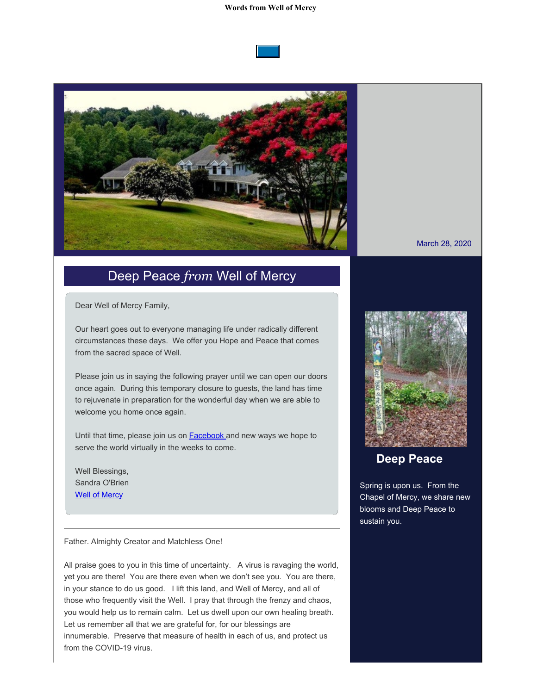## **Words from Well of Mercy**





## Deep Peace *from* Well of Mercy

Dear Well of Mercy Family,

Our heart goes out to everyone managing life under radically different circumstances these days. We offer you Hope and Peace that comes from the sacred space of Well.

Please join us in saying the following prayer until we can open our doors once again. During this temporary closure to guests, the land has time to rejuvenate in preparation for the wonderful day when we are able to welcome you home once again.

Until that time, please join us on **Facebook** and new ways we hope to serve the world virtually in the weeks to come.

Well Blessings, Sandra O'Brien [Well of Mercy](https://cts.vresp.com/c/?WellofMercy/54fef8c2de/25d1e1de8c/0e9ac7be72)

Father. Almighty Creator and Matchless One!

All praise goes to you in this time of uncertainty. A virus is ravaging the world, yet you are there! You are there even when we don't see you. You are there, in your stance to do us good. I lift this land, and Well of Mercy, and all of those who frequently visit the Well. I pray that through the frenzy and chaos, you would help us to remain calm. Let us dwell upon our own healing breath. Let us remember all that we are grateful for, for our blessings are innumerable. Preserve that measure of health in each of us, and protect us from the COVID-19 virus.



## **Deep Peace**

Spring is upon us. From the Chapel of Mercy, we share new blooms and Deep Peace to sustain you.

March 28, 2020